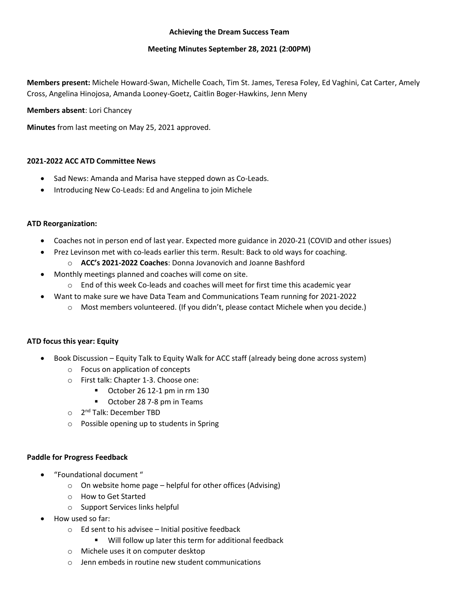## **Achieving the Dream Success Team**

## **Meeting Minutes September 28, 2021 (2:00PM)**

**Members present:** Michele Howard-Swan, Michelle Coach, Tim St. James, Teresa Foley, Ed Vaghini, Cat Carter, Amely Cross, Angelina Hinojosa, Amanda Looney-Goetz, Caitlin Boger-Hawkins, Jenn Meny

### **Members absent**: Lori Chancey

**Minutes** from last meeting on May 25, 2021 approved.

### **2021-2022 ACC ATD Committee News**

- Sad News: Amanda and Marisa have stepped down as Co-Leads.
- Introducing New Co-Leads: Ed and Angelina to join Michele

# **ATD Reorganization:**

- Coaches not in person end of last year. Expected more guidance in 2020-21 (COVID and other issues)
- Prez Levinson met with co-leads earlier this term. Result: Back to old ways for coaching.
	- o **ACC's 2021-2022 Coaches**: Donna Jovanovich and Joanne Bashford
- Monthly meetings planned and coaches will come on site.
	- $\circ$  End of this week Co-leads and coaches will meet for first time this academic year
- Want to make sure we have Data Team and Communications Team running for 2021-2022
	- $\circ$  Most members volunteered. (If you didn't, please contact Michele when you decide.)

### **ATD focus this year: Equity**

- Book Discussion Equity Talk to Equity Walk for ACC staff (already being done across system)
	- o Focus on application of concepts
	- o First talk: Chapter 1-3. Choose one:
		- October 26 12-1 pm in rm 130
		- October 28 7-8 pm in Teams
	- o 2<sup>nd</sup> Talk: December TBD
	- o Possible opening up to students in Spring

### **Paddle for Progress Feedback**

- "Foundational document "
	- $\circ$  On website home page helpful for other offices (Advising)
	- o How to Get Started
	- o Support Services links helpful
- How used so far:
	- o Ed sent to his advisee Initial positive feedback
		- Will follow up later this term for additional feedback
	- o Michele uses it on computer desktop
	- o Jenn embeds in routine new student communications